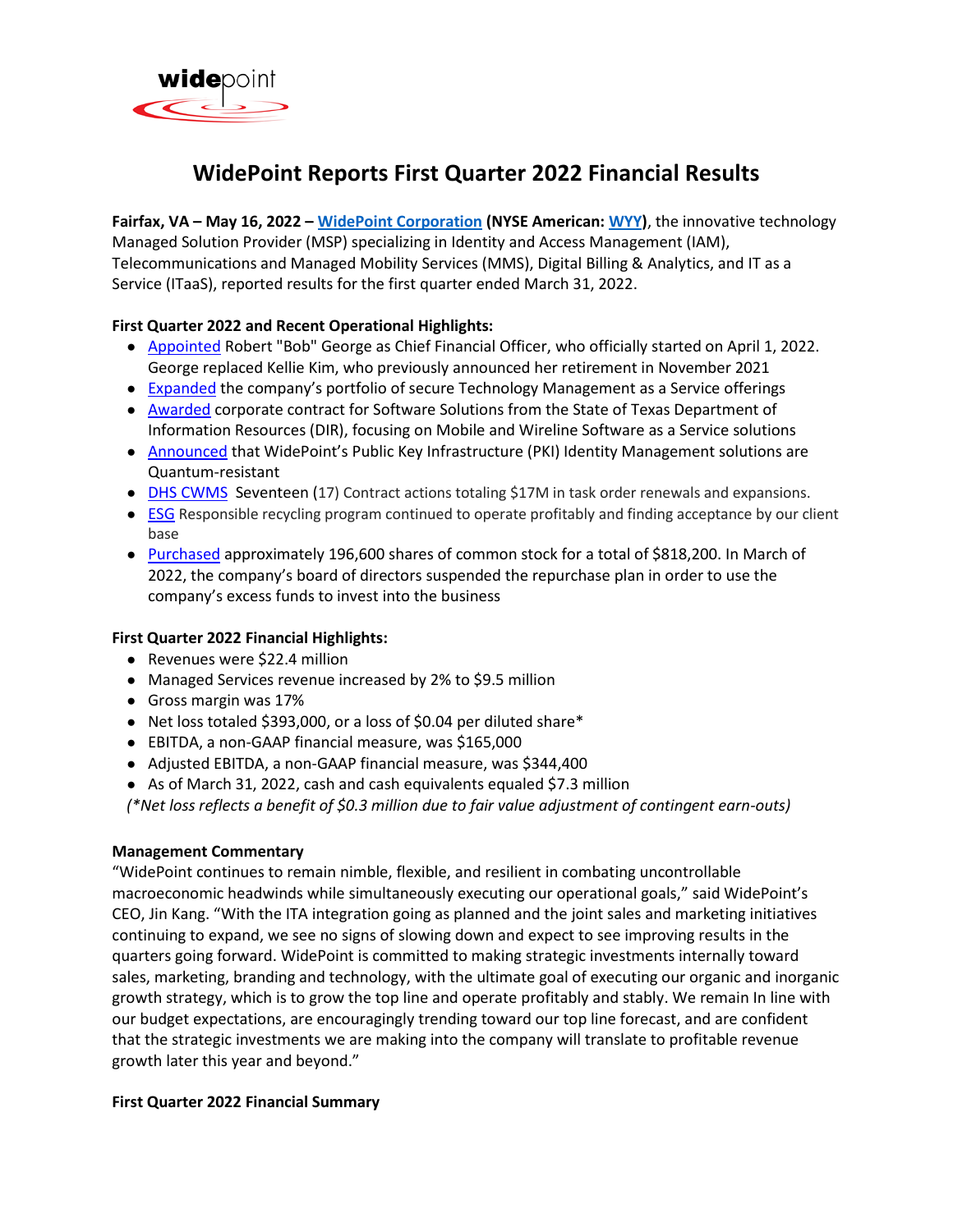

# **WidePoint Reports First Quarter 2022 Financial Results**

**Fairfax, VA – May 16, 2022 – [WidePoint Corporation](https://www.widepoint.com/) (NYSE American: [WYY\)](https://finance.yahoo.com/quote/WYY?p=WYY)**, the innovative technology Managed Solution Provider (MSP) specializing in Identity and Access Management (IAM), Telecommunications and Managed Mobility Services (MMS), Digital Billing & Analytics, and IT as a Service (ITaaS), reported results for the first quarter ended March 31, 2022.

# **First Quarter 2022 and Recent Operational Highlights:**

- [Appointed](https://feeds.issuerdirect.com/news-release.html?newsid=8585382339720642) Robert "Bob" George as Chief Financial Officer, who officially started on April 1, 2022. George replaced Kellie Kim, who previously announced her retirement in November 2021
- [Expanded](https://feeds.issuerdirect.com/news-release.html?newsid=8595383349205832) the company's portfolio of secure Technology Management as a Service offerings
- [Awarded](https://feeds.issuerdirect.com/news-release.html?newsid=6670724839027316) corporate contract for Software Solutions from the State of Texas Department of Information Resources (DIR), focusing on Mobile and Wireline Software as a Service solutions
- [Announced](https://feeds.issuerdirect.com/news-release.html?newsid=6247541395893006) that WidePoint's Public Key Infrastructure (PKI) Identity Management solutions are Quantum-resistant
- **DHS CWMS** Seventeen (17) Contract actions totaling \$17M in task order renewals and expansions.
- ESG Responsible recycling program continued to operate profitably and finding acceptance by our client base
- [Purchased](https://feeds.issuerdirect.com/news-release.html?newsid=6502769924909726) approximately 196,600 shares of common stock for a total of \$818,200. In March of 2022, the company's board of directors suspended the repurchase plan in order to use the company's excess funds to invest into the business

# **First Quarter 2022 Financial Highlights:**

- Revenues were \$22.4 million
- Managed Services revenue increased by 2% to \$9.5 million
- Gross margin was 17%
- Net loss totaled \$393,000, or a loss of \$0.04 per diluted share\*
- EBITDA, a non-GAAP financial measure, was \$165,000
- Adjusted EBITDA, a non-GAAP financial measure, was \$344,400
- As of March 31, 2022, cash and cash equivalents equaled \$7.3 million

*(\*Net loss reflects a benefit of \$0.3 million due to fair value adjustment of contingent earn-outs)*

# **Management Commentary**

"WidePoint continues to remain nimble, flexible, and resilient in combating uncontrollable macroeconomic headwinds while simultaneously executing our operational goals," said WidePoint's CEO, Jin Kang. "With the ITA integration going as planned and the joint sales and marketing initiatives continuing to expand, we see no signs of slowing down and expect to see improving results in the quarters going forward. WidePoint is committed to making strategic investments internally toward sales, marketing, branding and technology, with the ultimate goal of executing our organic and inorganic growth strategy, which is to grow the top line and operate profitably and stably. We remain In line with our budget expectations, are encouragingly trending toward our top line forecast, and are confident that the strategic investments we are making into the company will translate to profitable revenue growth later this year and beyond."

# **First Quarter 2022 Financial Summary**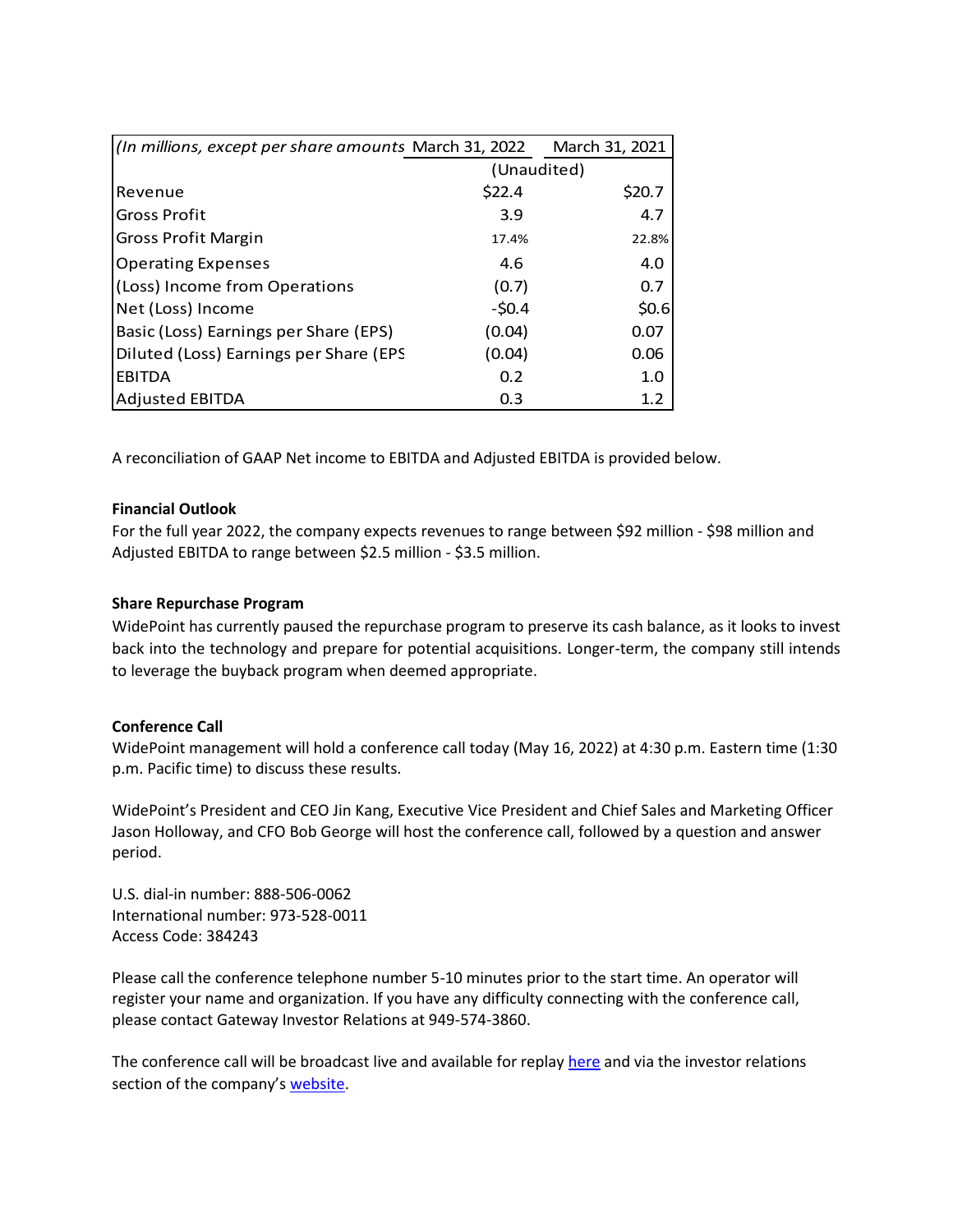| (In millions, except per share amounts March 31, 2022) | March 31, 2021 |        |
|--------------------------------------------------------|----------------|--------|
|                                                        | (Unaudited)    |        |
| Revenue                                                | \$22.4         | \$20.7 |
| <b>Gross Profit</b>                                    | 3.9            | 4.7    |
| Gross Profit Margin                                    | 17.4%          | 22.8%  |
| <b>Operating Expenses</b>                              | 4.6            | 4.0    |
| (Loss) Income from Operations                          | (0.7)          | 0.7    |
| Net (Loss) Income                                      | $-50.4$        | \$0.6  |
| Basic (Loss) Earnings per Share (EPS)                  | (0.04)         | 0.07   |
| Diluted (Loss) Earnings per Share (EPS                 | (0.04)         | 0.06   |
| <b>EBITDA</b>                                          | 0.2            | 1.0    |
| <b>Adjusted EBITDA</b>                                 | 0.3            | 1.2    |

A reconciliation of GAAP Net income to EBITDA and Adjusted EBITDA is provided below.

# **Financial Outlook**

For the full year 2022, the company expects revenues to range between \$92 million - \$98 million and Adjusted EBITDA to range between \$2.5 million - \$3.5 million.

# **Share Repurchase Program**

WidePoint has currently paused the repurchase program to preserve its cash balance, as it looks to invest back into the technology and prepare for potential acquisitions. Longer-term, the company still intends to leverage the buyback program when deemed appropriate.

# **Conference Call**

WidePoint management will hold a conference call today (May 16, 2022) at 4:30 p.m. Eastern time (1:30 p.m. Pacific time) to discuss these results.

WidePoint's President and CEO Jin Kang, Executive Vice President and Chief Sales and Marketing Officer Jason Holloway, and CFO Bob George will host the conference call, followed by a question and answer period.

U.S. dial-in number: 888-506-0062 International number: 973-528-0011 Access Code: 384243

Please call the conference telephone number 5-10 minutes prior to the start time. An operator will register your name and organization. If you have any difficulty connecting with the conference call, please contact Gateway Investor Relations at 949-574-3860.

The conference call will be broadcast live and available for replay [here](https://www.webcaster4.com/Webcast/Page/2267/45316) and via the investor relations section of the company's [website.](http://irdirect.net/wyy/)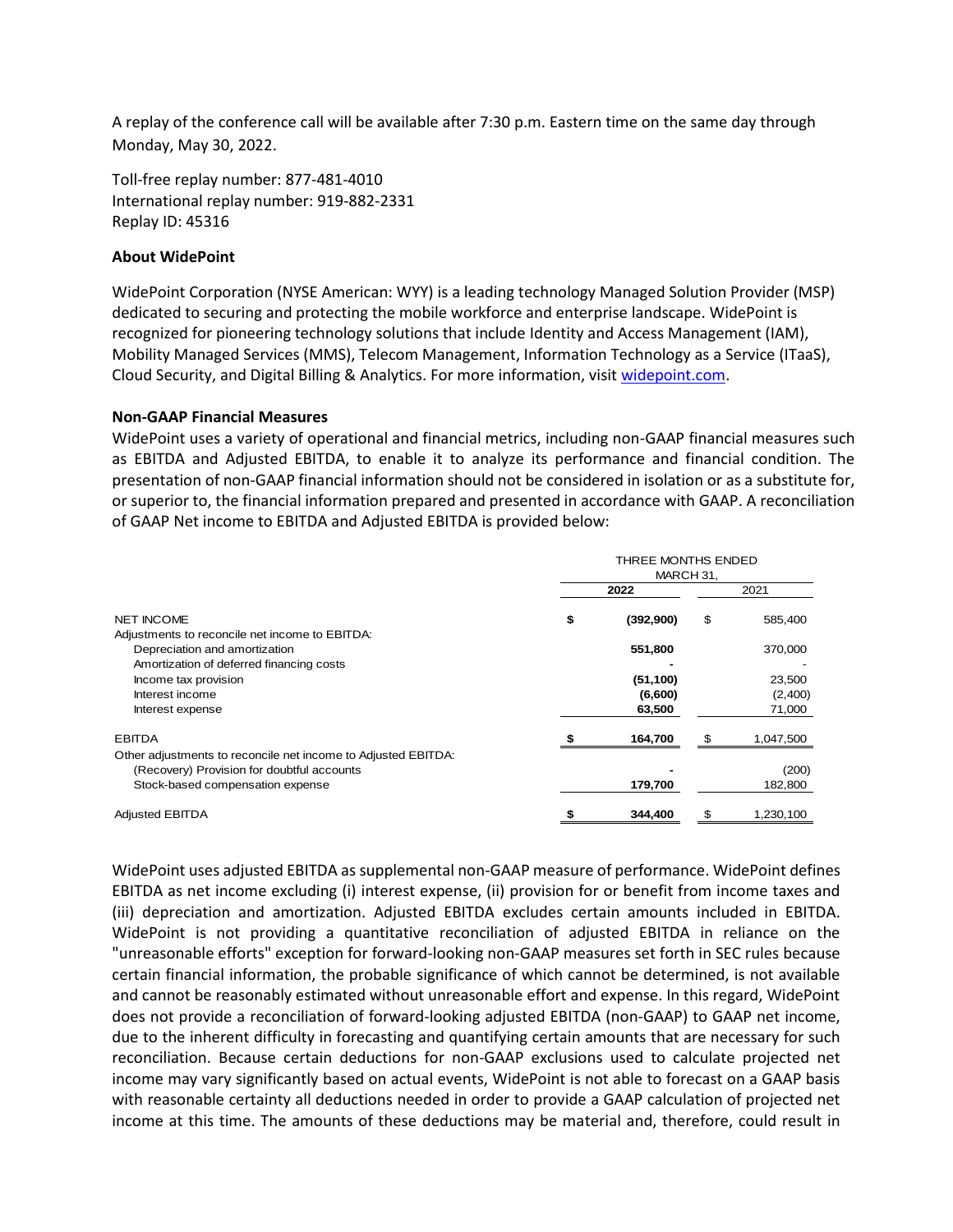A replay of the conference call will be available after 7:30 p.m. Eastern time on the same day through Monday, May 30, 2022.

Toll-free replay number: 877-481-4010 International replay number: 919-882-2331 Replay ID: 45316

#### **About WidePoint**

WidePoint Corporation (NYSE American: WYY) is a leading technology Managed Solution Provider (MSP) dedicated to securing and protecting the mobile workforce and enterprise landscape. WidePoint is recognized for pioneering technology solutions that include Identity and Access Management (IAM), Mobility Managed Services (MMS), Telecom Management, Information Technology as a Service (ITaaS), Cloud Security, and Digital Billing & Analytics. For more information, visit [widepoint.com.](https://www.widepoint.com/)

#### **Non-GAAP Financial Measures**

WidePoint uses a variety of operational and financial metrics, including non-GAAP financial measures such as EBITDA and Adjusted EBITDA, to enable it to analyze its performance and financial condition. The presentation of non-GAAP financial information should not be considered in isolation or as a substitute for, or superior to, the financial information prepared and presented in accordance with GAAP. A reconciliation of GAAP Net income to EBITDA and Adjusted EBITDA is provided below:

|                                                                                                                                                 | THREE MONTHS ENDED<br>MARCH 31, |                      |      |                   |
|-------------------------------------------------------------------------------------------------------------------------------------------------|---------------------------------|----------------------|------|-------------------|
|                                                                                                                                                 | 2022                            |                      | 2021 |                   |
| <b>NET INCOME</b><br>Adjustments to reconcile net income to EBITDA:                                                                             | \$                              | (392,900)            | \$   | 585,400           |
| Depreciation and amortization<br>Amortization of deferred financing costs                                                                       |                                 | 551,800              |      | 370,000           |
| Income tax provision<br>Interest income                                                                                                         |                                 | (51, 100)<br>(6,600) |      | 23,500<br>(2,400) |
| Interest expense                                                                                                                                |                                 | 63,500               |      | 71,000            |
| <b>EBITDA</b>                                                                                                                                   |                                 | 164,700              | -S   | 1,047,500         |
| Other adjustments to reconcile net income to Adjusted EBITDA:<br>(Recovery) Provision for doubtful accounts<br>Stock-based compensation expense |                                 | 179,700              |      | (200)<br>182,800  |
| <b>Adjusted EBITDA</b>                                                                                                                          |                                 | 344,400              | £.   | 1,230,100         |

WidePoint uses adjusted EBITDA as supplemental non-GAAP measure of performance. WidePoint defines EBITDA as net income excluding (i) interest expense, (ii) provision for or benefit from income taxes and (iii) depreciation and amortization. Adjusted EBITDA excludes certain amounts included in EBITDA. WidePoint is not providing a quantitative reconciliation of adjusted EBITDA in reliance on the "unreasonable efforts" exception for forward-looking non-GAAP measures set forth in SEC rules because certain financial information, the probable significance of which cannot be determined, is not available and cannot be reasonably estimated without unreasonable effort and expense. In this regard, WidePoint does not provide a reconciliation of forward-looking adjusted EBITDA (non-GAAP) to GAAP net income, due to the inherent difficulty in forecasting and quantifying certain amounts that are necessary for such reconciliation. Because certain deductions for non-GAAP exclusions used to calculate projected net income may vary significantly based on actual events, WidePoint is not able to forecast on a GAAP basis with reasonable certainty all deductions needed in order to provide a GAAP calculation of projected net income at this time. The amounts of these deductions may be material and, therefore, could result in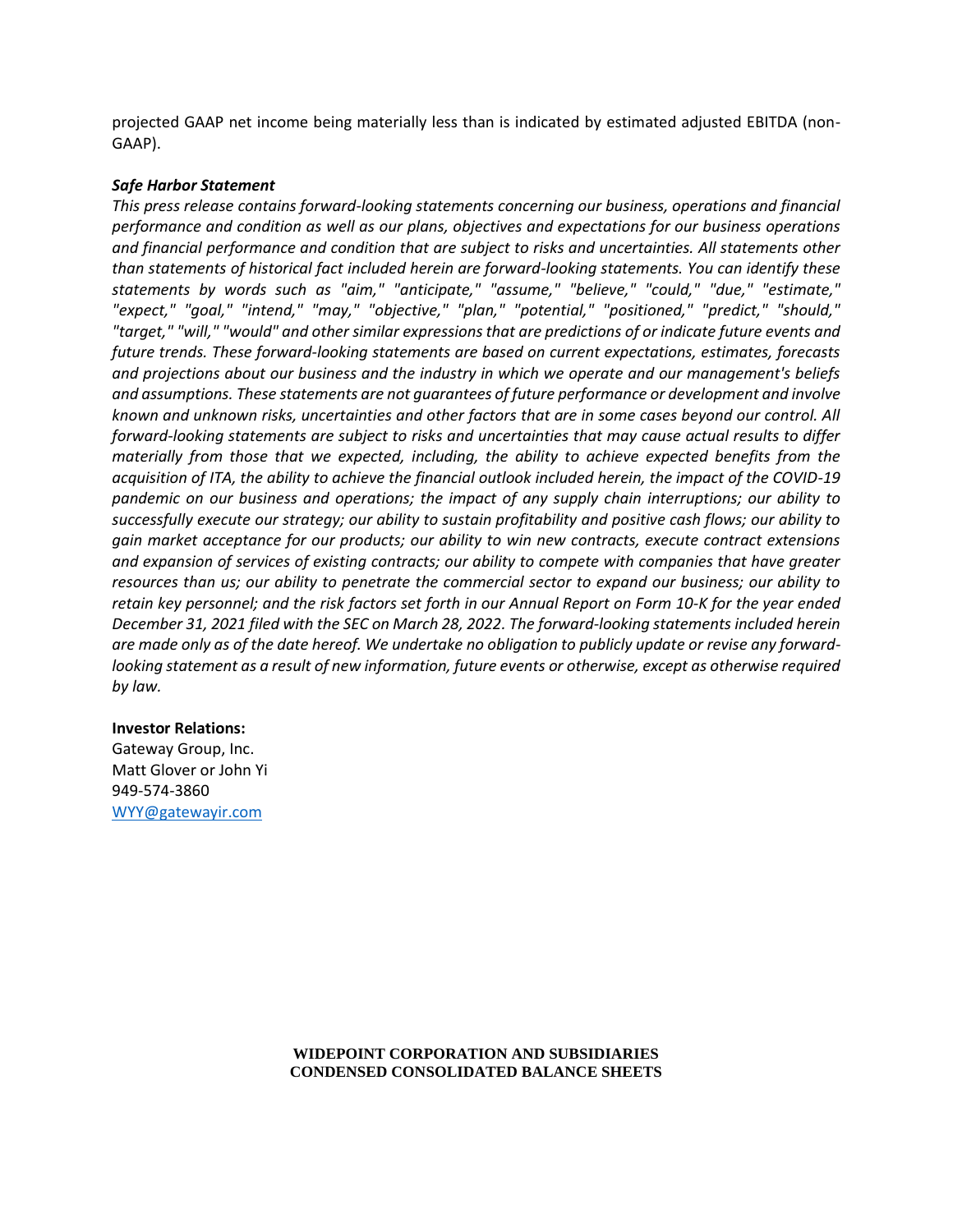projected GAAP net income being materially less than is indicated by estimated adjusted EBITDA (non-GAAP).

#### *Safe Harbor Statement*

*This press release contains forward-looking statements concerning our business, operations and financial performance and condition as well as our plans, objectives and expectations for our business operations and financial performance and condition that are subject to risks and uncertainties. All statements other than statements of historical fact included herein are forward-looking statements. You can identify these statements by words such as "aim," "anticipate," "assume," "believe," "could," "due," "estimate," "expect," "goal," "intend," "may," "objective," "plan," "potential," "positioned," "predict," "should," "target," "will," "would" and other similar expressions that are predictions of or indicate future events and future trends. These forward-looking statements are based on current expectations, estimates, forecasts and projections about our business and the industry in which we operate and our management's beliefs and assumptions. These statements are not guarantees of future performance or development and involve known and unknown risks, uncertainties and other factors that are in some cases beyond our control. All forward-looking statements are subject to risks and uncertainties that may cause actual results to differ materially from those that we expected, including, the ability to achieve expected benefits from the acquisition of ITA, the ability to achieve the financial outlook included herein, the impact of the COVID-19 pandemic on our business and operations; the impact of any supply chain interruptions; our ability to successfully execute our strategy; our ability to sustain profitability and positive cash flows; our ability to gain market acceptance for our products; our ability to win new contracts, execute contract extensions and expansion of services of existing contracts; our ability to compete with companies that have greater resources than us; our ability to penetrate the commercial sector to expand our business; our ability to retain key personnel; and the risk factors set forth in our Annual Report on Form 10-K for the year ended December 31, 2021 filed with the SEC on March 28, 2022. The forward-looking statements included herein are made only as of the date hereof. We undertake no obligation to publicly update or revise any forwardlooking statement as a result of new information, future events or otherwise, except as otherwise required by law.*

#### **Investor Relations:**

Gateway Group, Inc. Matt Glover or John Yi 949-574-3860 [WYY@gatewayir.com](mailto:WYY@gatewayir.com)

#### **WIDEPOINT CORPORATION AND SUBSIDIARIES CONDENSED CONSOLIDATED BALANCE SHEETS**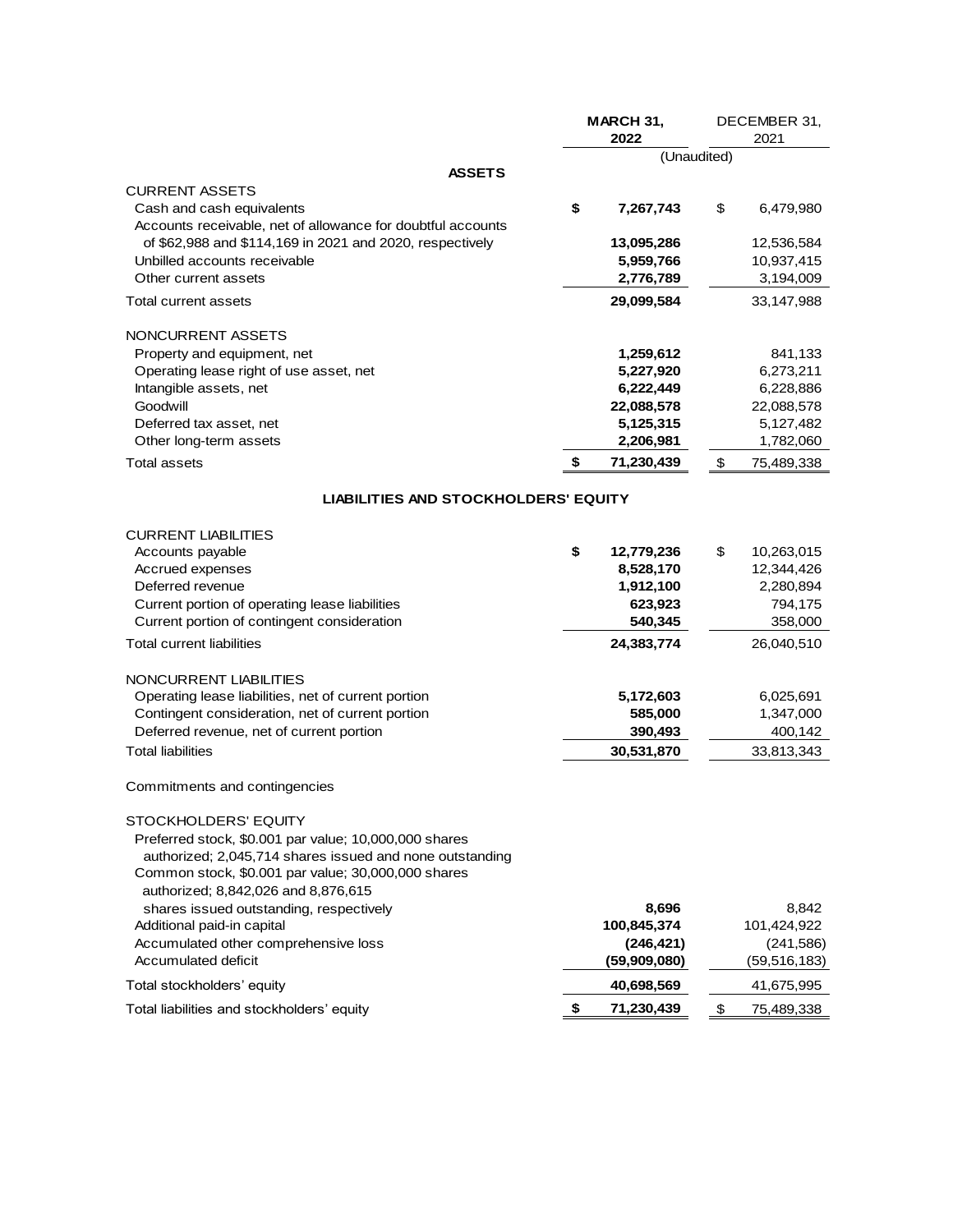|                                                                                                                   | MARCH 31,<br>2022 |              | DECEMBER 31,<br>2021 |                |
|-------------------------------------------------------------------------------------------------------------------|-------------------|--------------|----------------------|----------------|
|                                                                                                                   |                   | (Unaudited)  |                      |                |
| <b>ASSETS</b>                                                                                                     |                   |              |                      |                |
| <b>CURRENT ASSETS</b><br>Cash and cash equivalents<br>Accounts receivable, net of allowance for doubtful accounts | \$                | 7,267,743    | \$                   | 6,479,980      |
| of \$62,988 and \$114,169 in 2021 and 2020, respectively                                                          |                   | 13,095,286   |                      | 12,536,584     |
| Unbilled accounts receivable                                                                                      |                   | 5,959,766    |                      | 10,937,415     |
| Other current assets                                                                                              |                   | 2,776,789    |                      | 3,194,009      |
| Total current assets                                                                                              |                   | 29,099,584   |                      | 33,147,988     |
| NONCURRENT ASSETS                                                                                                 |                   |              |                      |                |
| Property and equipment, net                                                                                       |                   | 1,259,612    |                      | 841,133        |
| Operating lease right of use asset, net                                                                           |                   | 5,227,920    |                      | 6,273,211      |
| Intangible assets, net                                                                                            |                   | 6,222,449    |                      | 6,228,886      |
| Goodwill                                                                                                          |                   | 22,088,578   |                      | 22,088,578     |
| Deferred tax asset, net                                                                                           |                   | 5,125,315    |                      | 5,127,482      |
| Other long-term assets                                                                                            |                   | 2,206,981    |                      | 1,782,060      |
| <b>Total assets</b>                                                                                               | \$                | 71,230,439   | \$                   | 75,489,338     |
| <b>LIABILITIES AND STOCKHOLDERS' EQUITY</b>                                                                       |                   |              |                      |                |
| <b>CURRENT LIABILITIES</b>                                                                                        |                   |              |                      |                |
| Accounts payable                                                                                                  | \$                | 12,779,236   | \$                   | 10,263,015     |
| Accrued expenses                                                                                                  |                   | 8,528,170    |                      | 12,344,426     |
| Deferred revenue                                                                                                  |                   | 1,912,100    |                      | 2,280,894      |
| Current portion of operating lease liabilities                                                                    |                   | 623,923      |                      | 794,175        |
| Current portion of contingent consideration                                                                       |                   | 540,345      |                      | 358,000        |
| <b>Total current liabilities</b>                                                                                  |                   | 24,383,774   |                      | 26,040,510     |
| NONCURRENT LIABILITIES                                                                                            |                   |              |                      |                |
| Operating lease liabilities, net of current portion                                                               |                   | 5,172,603    |                      | 6,025,691      |
| Contingent consideration, net of current portion                                                                  |                   | 585,000      |                      | 1,347,000      |
| Deferred revenue, net of current portion                                                                          |                   | 390,493      |                      | 400,142        |
| <b>Total liabilities</b>                                                                                          |                   | 30,531,870   |                      | 33,813,343     |
| Commitments and contingencies                                                                                     |                   |              |                      |                |
| STOCKHOLDERS' EQUITY                                                                                              |                   |              |                      |                |
| Preferred stock, \$0.001 par value; 10,000,000 shares                                                             |                   |              |                      |                |
| authorized; 2,045,714 shares issued and none outstanding<br>Common stock, \$0.001 par value; 30,000,000 shares    |                   |              |                      |                |
| authorized; 8,842,026 and 8,876,615                                                                               |                   |              |                      |                |
| shares issued outstanding, respectively                                                                           |                   | 8,696        |                      | 8,842          |
| Additional paid-in capital                                                                                        |                   | 100,845,374  |                      | 101,424,922    |
| Accumulated other comprehensive loss                                                                              |                   | (246, 421)   |                      | (241, 586)     |
| Accumulated deficit                                                                                               |                   | (59,909,080) |                      | (59, 516, 183) |
| Total stockholders' equity                                                                                        |                   | 40,698,569   |                      | 41,675,995     |
| Total liabilities and stockholders' equity                                                                        | \$                | 71,230,439   | $\frac{1}{2}$        | 75,489,338     |